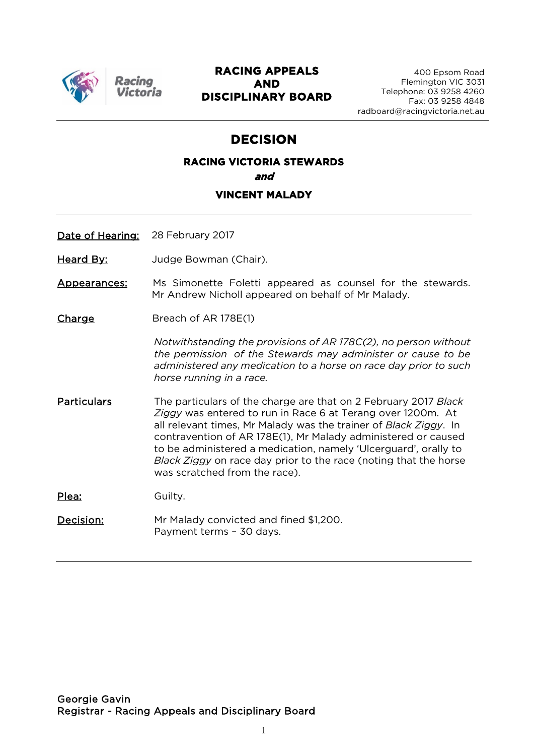

Racino

# **RACING APPEALS AND DISCIPLINARY BOARD**

# **DECISION**

# **RACING VICTORIA STEWARDS and**

# **VINCENT MALADY**

Date of Hearing: 28 February 2017

Heard By: **Judge Bowman (Chair)**.

Appearances: Ms Simonette Foletti appeared as counsel for the stewards. Mr Andrew Nicholl appeared on behalf of Mr Malady.

Charge Breach of AR 178E(1)

*Notwithstanding the provisions of AR 178C(2), no person without the permission of the Stewards may administer or cause to be administered any medication to a horse on race day prior to such horse running in a race.*

Particulars The particulars of the charge are that on 2 February 2017 *Black Ziggy* was entered to run in Race 6 at Terang over 1200m. At all relevant times, Mr Malady was the trainer of *Black Ziggy*. In contravention of AR 178E(1), Mr Malady administered or caused to be administered a medication, namely 'Ulcerguard', orally to *Black Ziggy* on race day prior to the race (noting that the horse was scratched from the race).

Plea: Guilty.

Decision: Mr Malady convicted and fined \$1,200. Payment terms – 30 days.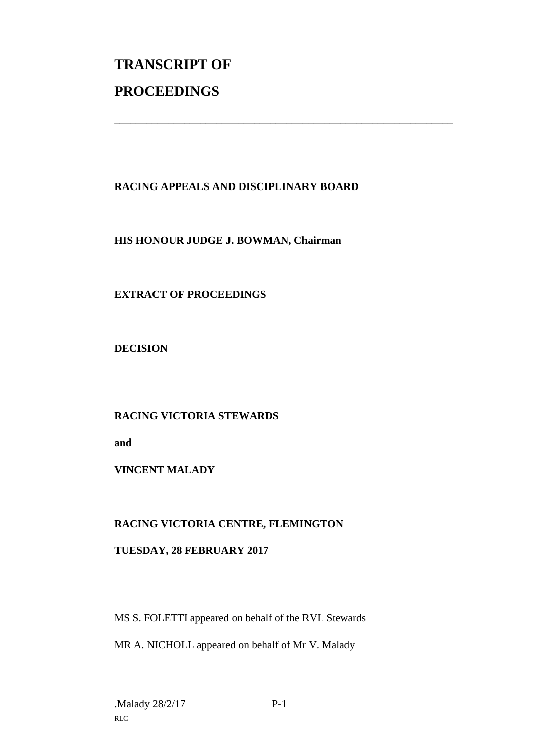# **TRANSCRIPT OF PROCEEDINGS**

# **RACING APPEALS AND DISCIPLINARY BOARD**

\_\_\_\_\_\_\_\_\_\_\_\_\_\_\_\_\_\_\_\_\_\_\_\_\_\_\_\_\_\_\_\_\_\_\_\_\_\_\_\_\_\_\_\_\_\_\_\_\_\_\_\_\_\_\_\_\_\_\_\_\_\_\_

#### **HIS HONOUR JUDGE J. BOWMAN, Chairman**

# **EXTRACT OF PROCEEDINGS**

**DECISION**

# **RACING VICTORIA STEWARDS**

**and** 

# **VINCENT MALADY**

# **RACING VICTORIA CENTRE, FLEMINGTON**

# **TUESDAY, 28 FEBRUARY 2017**

MS S. FOLETTI appeared on behalf of the RVL Stewards

MR A. NICHOLL appeared on behalf of Mr V. Malady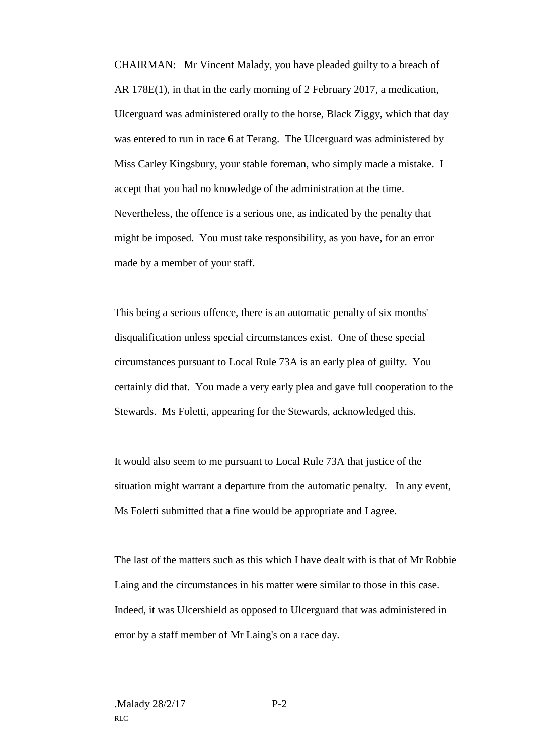CHAIRMAN: Mr Vincent Malady, you have pleaded guilty to a breach of AR 178E(1), in that in the early morning of 2 February 2017, a medication, Ulcerguard was administered orally to the horse, Black Ziggy, which that day was entered to run in race 6 at Terang. The Ulcerguard was administered by Miss Carley Kingsbury, your stable foreman, who simply made a mistake. I accept that you had no knowledge of the administration at the time. Nevertheless, the offence is a serious one, as indicated by the penalty that might be imposed. You must take responsibility, as you have, for an error made by a member of your staff.

This being a serious offence, there is an automatic penalty of six months' disqualification unless special circumstances exist. One of these special circumstances pursuant to Local Rule 73A is an early plea of guilty. You certainly did that. You made a very early plea and gave full cooperation to the Stewards. Ms Foletti, appearing for the Stewards, acknowledged this.

It would also seem to me pursuant to Local Rule 73A that justice of the situation might warrant a departure from the automatic penalty. In any event, Ms Foletti submitted that a fine would be appropriate and I agree.

The last of the matters such as this which I have dealt with is that of Mr Robbie Laing and the circumstances in his matter were similar to those in this case. Indeed, it was Ulcershield as opposed to Ulcerguard that was administered in error by a staff member of Mr Laing's on a race day.